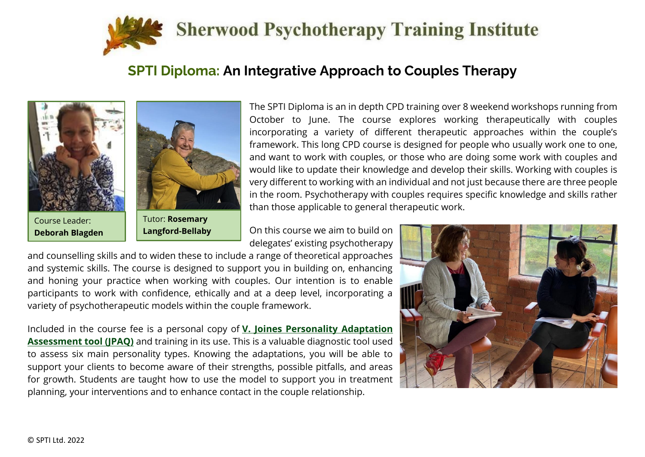

### **SPTI Diploma: An Integrative Approach to Couples Therapy**





**Langford-Bellaby**

The SPTI Diploma is an in depth CPD training over 8 weekend workshops running from October to June. The course explores working therapeutically with couples incorporating a variety of different therapeutic approaches within the couple's framework. This long CPD course is designed for people who usually work one to one, and want to work with couples, or those who are doing some work with couples and would like to update their knowledge and develop their skills. Working with couples is very different to working with an individual and not just because there are three people in the room. Psychotherapy with couples requires specific knowledge and skills rather than those applicable to general therapeutic work.

On this course we aim to build on delegates' existing psychotherapy

and counselling skills and to widen these to include a range of theoretical approaches and systemic skills. The course is designed to support you in building on, enhancing and honing your practice when working with couples. Our intention is to enable participants to work with confidence, ethically and at a deep level, incorporating a variety of psychotherapeutic models within the couple framework.

Included in the course fee is a personal copy of **[V. Joines Personality Adaptation](https://seinstitute.com/jpaq/)  [Assessment tool \(JPAQ\)](https://seinstitute.com/jpaq/)** and training in its use. This is a valuable diagnostic tool used to assess six main personality types. Knowing the adaptations, you will be able to support your clients to become aware of their strengths, possible pitfalls, and areas for growth. Students are taught how to use the model to support you in treatment planning, your interventions and to enhance contact in the couple relationship.

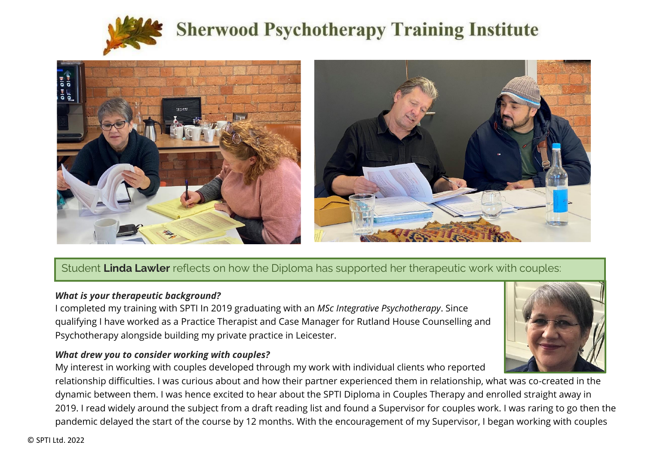



Student **Linda Lawler** reflects on how the Diploma has supported her therapeutic work with couples:

#### *What is your therapeutic background?*

I completed my training with SPTI In 2019 graduating with an *MSc Integrative Psychotherapy*. Since qualifying I have worked as a Practice Therapist and Case Manager for Rutland House Counselling and Psychotherapy alongside building my private practice in Leicester.

#### *What drew you to consider working with couples?*

My interest in working with couples developed through my work with individual clients who reported relationship difficulties. I was curious about and how their partner experienced them in relationship, what was co-created in the dynamic between them. I was hence excited to hear about the SPTI Diploma in Couples Therapy and enrolled straight away in 2019. I read widely around the subject from a draft reading list and found a Supervisor for couples work. I was raring to go then the pandemic delayed the start of the course by 12 months. With the encouragement of my Supervisor, I began working with couples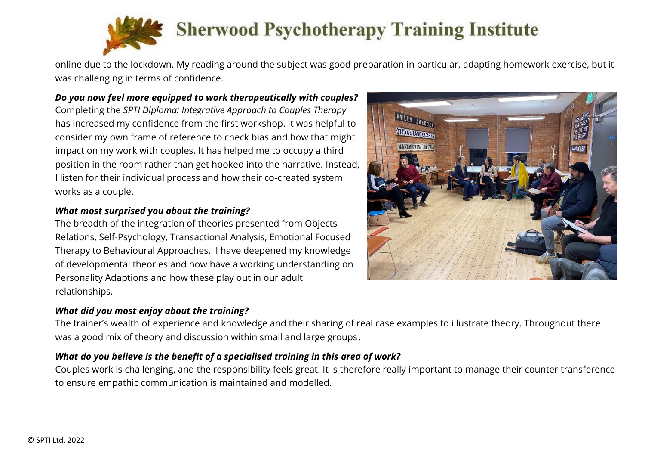

online due to the lockdown. My reading around the subject was good preparation in particular, adapting homework exercise, but it was challenging in terms of confidence.

#### *Do you now feel more equipped to work therapeutically with couples?*

Completing the *SPTI Diploma: Integrative Approach to Couples Therapy* has increased my confidence from the first workshop. It was helpful to consider my own frame of reference to check bias and how that might impact on my work with couples. It has helped me to occupy a third position in the room rather than get hooked into the narrative. Instead, I listen for their individual process and how their co-created system works as a couple.

#### *What most surprised you about the training?*

The breadth of the integration of theories presented from Objects Relations, Self-Psychology, Transactional Analysis, Emotional Focused Therapy to Behavioural Approaches. I have deepened my knowledge of developmental theories and now have a working understanding on Personality Adaptions and how these play out in our adult relationships.

#### *What did you most enjoy about the training?*

The trainer's wealth of experience and knowledge and their sharing of real case examples to illustrate theory. Throughout there was a good mix of theory and discussion within small and large groups .

#### *What do you believe is the benefit of a specialised training in this area of work?*

Couples work is challenging, and the responsibility feels great. It is therefore really important to manage their counter transference to ensure empathic communication is maintained and modelled.